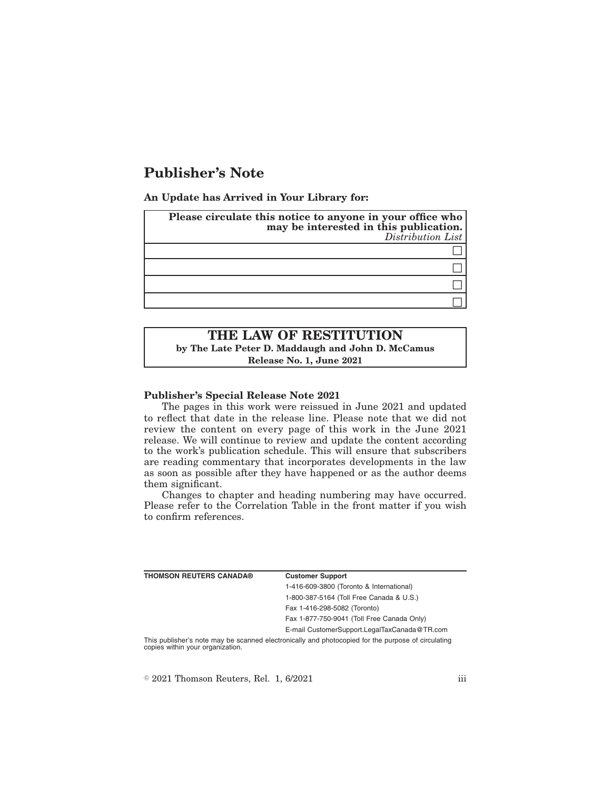# **Publisher's Note**

**An Update has Arrived in Your Library for:**

| Please circulate this notice to anyone in your office who<br>may be interested in this publication.<br>Distribution List |
|--------------------------------------------------------------------------------------------------------------------------|
|                                                                                                                          |
|                                                                                                                          |
|                                                                                                                          |
|                                                                                                                          |

# **THE LAW OF RESTITUTION by The Late Peter D. Maddaugh and John D. McCamus Release No. 1, June 2021**

### **Publisher's Special Release Note 2021**

The pages in this work were reissued in June 2021 and updated to reflect that date in the release line. Please note that we did not review the content on every page of this work in the June 2021 release. We will continue to review and update the content according to the work's publication schedule. This will ensure that subscribers are reading commentary that incorporates developments in the law as soon as possible after they have happened or as the author deems them significant.

Changes to chapter and heading numbering may have occurred. Please refer to the Correlation Table in the front matter if you wish to confirm references.

| <b>THOMSON REUTERS CANADA®</b>   | <b>Customer Support</b>                                                                            |
|----------------------------------|----------------------------------------------------------------------------------------------------|
|                                  | 1-416-609-3800 (Toronto & International)                                                           |
|                                  | 1-800-387-5164 (Toll Free Canada & U.S.)                                                           |
|                                  | Fax 1-416-298-5082 (Toronto)                                                                       |
|                                  | Fax 1-877-750-9041 (Toll Free Canada Only)                                                         |
|                                  | E-mail CustomerSupport.LegalTaxCanada@TR.com                                                       |
| copies within your organization. | This publisher's note may be scanned electronically and photocopied for the purpose of circulating |

 $\textdegree$  2021 Thomson Reuters, Rel. 1, 6/2021 iii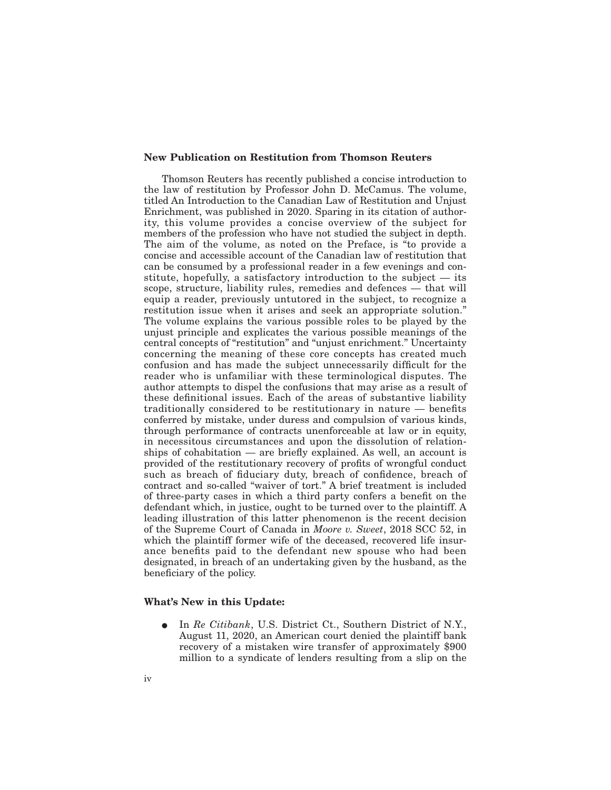#### **New Publication on Restitution from Thomson Reuters**

Thomson Reuters has recently published a concise introduction to the law of restitution by Professor John D. McCamus. The volume, titled An Introduction to the Canadian Law of Restitution and Unjust Enrichment, was published in 2020. Sparing in its citation of authority, this volume provides a concise overview of the subject for members of the profession who have not studied the subject in depth. The aim of the volume, as noted on the Preface, is "to provide a concise and accessible account of the Canadian law of restitution that can be consumed by a professional reader in a few evenings and constitute, hopefully, a satisfactory introduction to the subject — its scope, structure, liability rules, remedies and defences — that will equip a reader, previously untutored in the subject, to recognize a restitution issue when it arises and seek an appropriate solution." The volume explains the various possible roles to be played by the unjust principle and explicates the various possible meanings of the central concepts of "restitution" and "unjust enrichment." Uncertainty concerning the meaning of these core concepts has created much confusion and has made the subject unnecessarily difficult for the reader who is unfamiliar with these terminological disputes. The author attempts to dispel the confusions that may arise as a result of these definitional issues. Each of the areas of substantive liability traditionally considered to be restitutionary in nature — benefits conferred by mistake, under duress and compulsion of various kinds, through performance of contracts unenforceable at law or in equity, in necessitous circumstances and upon the dissolution of relationships of cohabitation — are briefly explained. As well, an account is provided of the restitutionary recovery of profits of wrongful conduct such as breach of fiduciary duty, breach of confidence, breach of contract and so-called "waiver of tort." A brief treatment is included of three-party cases in which a third party confers a benefit on the defendant which, in justice, ought to be turned over to the plaintiff. A leading illustration of this latter phenomenon is the recent decision of the Supreme Court of Canada in *Moore v. Sweet*, 2018 SCC 52, in which the plaintiff former wife of the deceased, recovered life insurance benefits paid to the defendant new spouse who had been designated, in breach of an undertaking given by the husband, as the beneficiary of the policy.

#### **What's New in this Update:**

E In *Re Citibank*, U.S. District Ct., Southern District of N.Y., August 11, 2020, an American court denied the plaintiff bank recovery of a mistaken wire transfer of approximately \$900 million to a syndicate of lenders resulting from a slip on the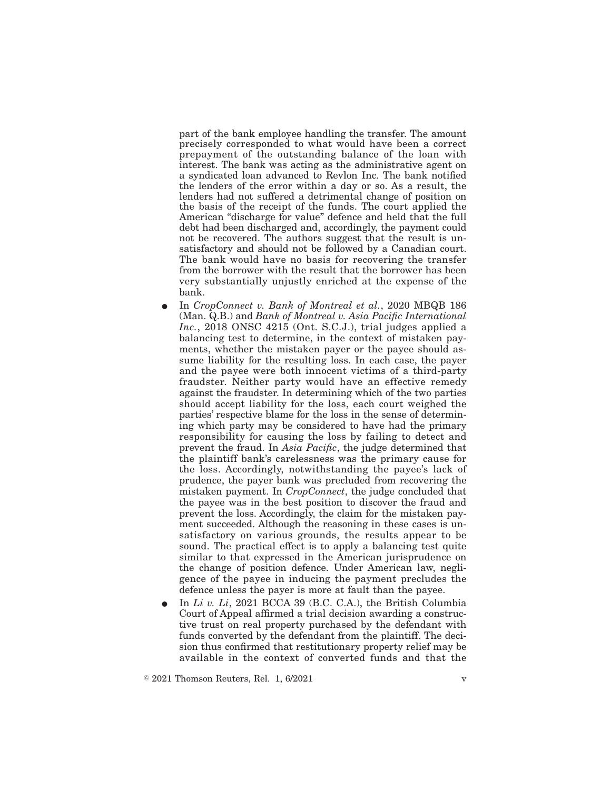part of the bank employee handling the transfer. The amount precisely corresponded to what would have been a correct prepayment of the outstanding balance of the loan with interest. The bank was acting as the administrative agent on a syndicated loan advanced to Revlon Inc. The bank notified the lenders of the error within a day or so. As a result, the lenders had not suffered a detrimental change of position on the basis of the receipt of the funds. The court applied the American "discharge for value" defence and held that the full debt had been discharged and, accordingly, the payment could not be recovered. The authors suggest that the result is unsatisfactory and should not be followed by a Canadian court. The bank would have no basis for recovering the transfer from the borrower with the result that the borrower has been very substantially unjustly enriched at the expense of the bank.

- In *CropConnect v. Bank of Montreal et al.*, 2020 MBQB 186 (Man. Q.B.) and *Bank of Montreal v. Asia Pacific International Inc.*, 2018 ONSC 4215 (Ont. S.C.J.), trial judges applied a balancing test to determine, in the context of mistaken payments, whether the mistaken payer or the payee should assume liability for the resulting loss. In each case, the payer and the payee were both innocent victims of a third-party fraudster. Neither party would have an effective remedy against the fraudster. In determining which of the two parties should accept liability for the loss, each court weighed the parties' respective blame for the loss in the sense of determining which party may be considered to have had the primary responsibility for causing the loss by failing to detect and prevent the fraud. In *Asia Pacific*, the judge determined that the plaintiff bank's carelessness was the primary cause for the loss. Accordingly, notwithstanding the payee's lack of prudence, the payer bank was precluded from recovering the mistaken payment. In *CropConnect*, the judge concluded that the payee was in the best position to discover the fraud and prevent the loss. Accordingly, the claim for the mistaken payment succeeded. Although the reasoning in these cases is unsatisfactory on various grounds, the results appear to be sound. The practical effect is to apply a balancing test quite similar to that expressed in the American jurisprudence on the change of position defence. Under American law, negligence of the payee in inducing the payment precludes the defence unless the payer is more at fault than the payee.
- E In *Li v. Li*, 2021 BCCA 39 (B.C. C.A.), the British Columbia Court of Appeal affirmed a trial decision awarding a constructive trust on real property purchased by the defendant with funds converted by the defendant from the plaintiff. The decision thus confirmed that restitutionary property relief may be available in the context of converted funds and that the

 $\degree$  2021 Thomson Reuters, Rel. 1, 6/2021 v